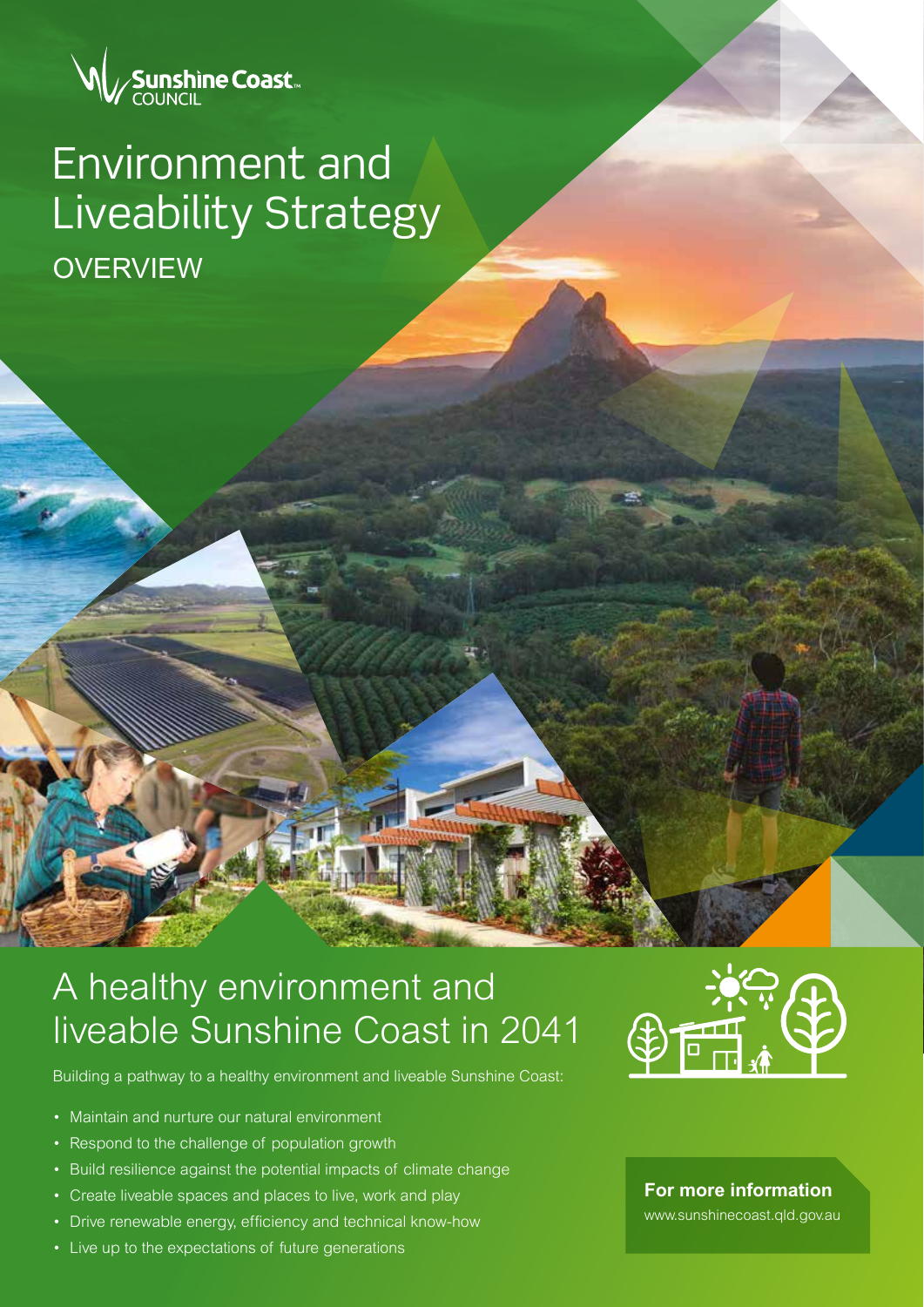

# **OVERVIEW** Environment and Liveability Strategy

# A healthy environment and liveable Sunshine Coast in 2041

Building a pathway to a healthy environment and liveable Sunshine Coast:

- Maintain and nurture our natural environment
- Respond to the challenge of population growth
- Build resilience against the potential impacts of climate change
- Create liveable spaces and places to live, work and play
- Drive renewable energy, efficiency and technical know-how
- Live up to the expectations of future generations



**For more information**

www.sunshinecoast.qld.gov.au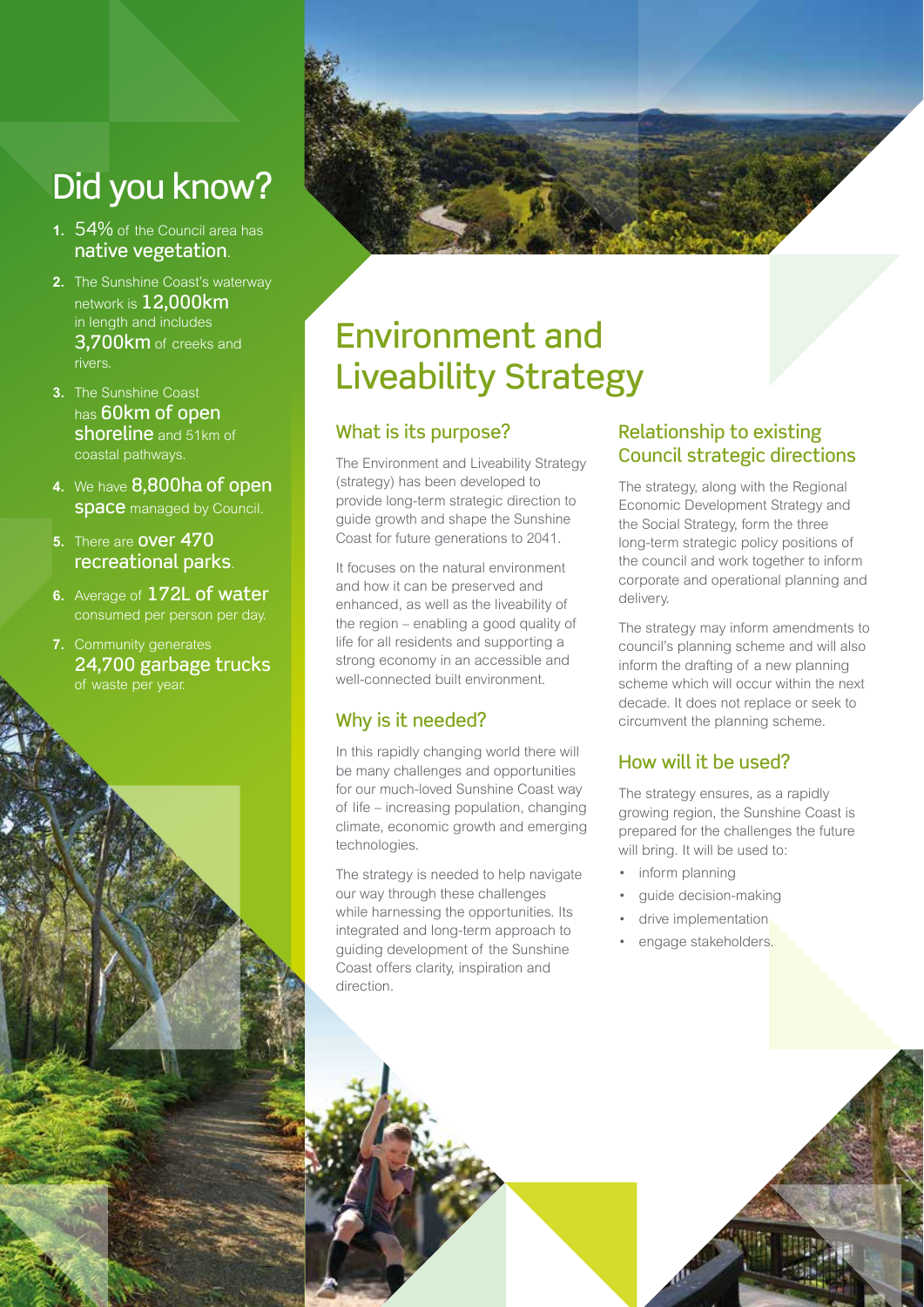# Did you know?

- **1.** 54% of the Council area has native vegetation.
- **2.** The Sunshine Coast's waterway network is 12,000km in length and includes 3,700km of creeks and rivers.
- **3.** The Sunshine Coast has 60km of open shoreline and 51km of coastal pathways.
- **4.** We have 8,800ha of open **space** managed by Council.
- **5.** There are over 470 recreational parks.
- **6.** Average of 172L of water consumed per person per day.
- **7.** Community generates 24,700 garbage trucks of waste per year.



# Environment and Liveability Strategy

### What is its purpose?

The Environment and Liveability Strategy (strategy) has been developed to provide long-term strategic direction to guide growth and shape the Sunshine Coast for future generations to 2041.

It focuses on the natural environment and how it can be preserved and enhanced, as well as the liveability of the region – enabling a good quality of life for all residents and supporting a strong economy in an accessible and well-connected built environment.

### Why is it needed?

In this rapidly changing world there will be many challenges and opportunities for our much-loved Sunshine Coast way of life – increasing population, changing climate, economic growth and emerging technologies.

The strategy is needed to help navigate our way through these challenges while harnessing the opportunities. Its integrated and long-term approach to guiding development of the Sunshine Coast offers clarity, inspiration and direction.

### Relationship to existing Council strategic directions

The strategy, along with the Regional Economic Development Strategy and the Social Strategy, form the three long-term strategic policy positions of the council and work together to inform corporate and operational planning and delivery.

The strategy may inform amendments to council's planning scheme and will also inform the drafting of a new planning scheme which will occur within the next decade. It does not replace or seek to circumvent the planning scheme.

# How will it be used?

The strategy ensures, as a rapidly growing region, the Sunshine Coast is prepared for the challenges the future will bring. It will be used to:

- inform planning
- guide decision-making
- drive implementation
- engage stakeholders.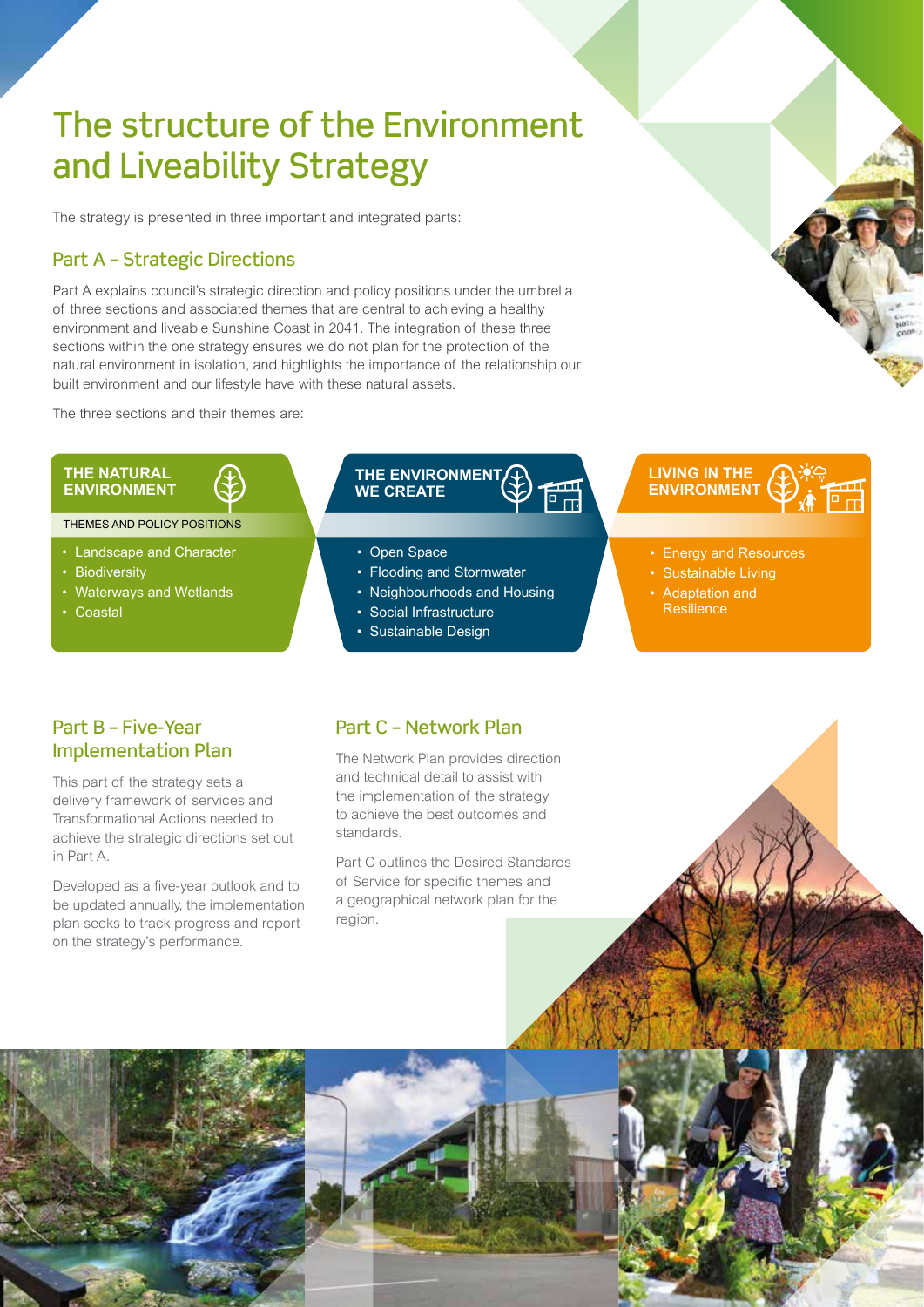# The structure of the Environment and Liveability Strategy

The strategy is presented in three important and integrated parts:

#### Part A – Strategic Directions

Part A explains council's strategic direction and policy positions under the umbrella of three sections and associated themes that are central to achieving a healthy environment and liveable Sunshine Coast in 2041. The integration of these three sections within the one strategy ensures we do not plan for the protection of the natural environment in isolation, and highlights the importance of the relationship our built environment and our lifestyle have with these natural assets.

The three sections and their themes are:

#### **THE NATURAL ENVIRONMENT**

THEMES AND POLICY POSITIONS

- Landscape and Character
- Biodiversity
- Waterways and Wetlands
- Coastal

#### **THE ENVIRONMENT**  $\begin{matrix} \overline{a} \\ \overline{b} \end{matrix}$ **WE CREATE**

- Open Space
- Flooding and Stormwater
- Neighbourhoods and Housing
- Social Infrastructure
- Sustainable Design

### **LIVING IN THE ENVIRONMENT**

- Energy and Resources
- Sustainable Living
- Adaptation and **Resilience**

#### Part B – Five-Year Implementation Plan

This part of the strategy sets a delivery framework of services and Transformational Actions needed to achieve the strategic directions set out in Part A.

Developed as a five-year outlook and to be updated annually, the implementation plan seeks to track progress and report on the strategy's performance.

#### Part C – Network Plan

The Network Plan provides direction and technical detail to assist with the implementation of the strategy to achieve the best outcomes and standards.

Part C outlines the Desired Standards of Service for specific themes and a geographical network plan for the region.